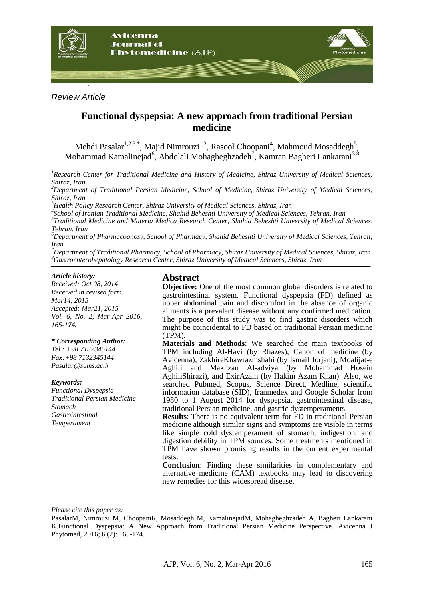

*Review Article*

# **Functional dyspepsia: A new approach from traditional Persian medicine**

Mehdi Pasalar<sup>1,2,3</sup>\*, Majid Nimrouzi<sup>1,2</sup>, Rasool Choopani<sup>4</sup>, Mahmoud Mosaddegh<sup>5</sup>, Mohammad Kamalinejad<sup>6</sup>, Abdolali Mohagheghzadeh<sup>7</sup>, Kamran Bagheri Lankarani<sup>3,8</sup>

*<sup>1</sup>Research Center for Traditional Medicine and History of Medicine, Shiraz University of Medical Sciences, Shiraz, Iran*

*<sup>2</sup>Department of Traditional Persian Medicine, School of Medicine, Shiraz University of Medical Sciences, Shiraz, Iran*

*<sup>3</sup>Health Policy Research Center, Shiraz University of Medical Sciences, Shiraz, Iran*

*4 School of Iranian Traditional Medicine, Shahid Beheshti University of Medical Sciences, Tehran, Iran*

*5 Traditional Medicine and Materia Medica Research Center, Shahid Beheshti University of Medical Sciences, Tehran, Iran*

*<sup>6</sup>Department of Pharmacognosy, School of Pharmacy, Shahid Beheshti University of Medical Sciences, Tehran, Iran*

*<sup>7</sup>Department of Traditional Pharmacy, School of Pharmacy, Shiraz University of Medical Sciences, Shiraz, Iran <sup>8</sup>Gastroenterohepatology Research Center, Shiraz University of Medical Sciences, Shiraz, Iran*

#### *Article history:*

*Received: Oct 08, 2014 Received in revised form: Mar14, 2015 Accepted: Mar21, 2015 Vol. 6, No. 2, Mar-Apr 2016, 165-174.*

#### *\* Corresponding Author:*

*Tel.: +98 7132345144 Fax:+98 7132345144 Pasalar@sums.ac.ir* 

#### *Keywords:*

*Functional Dyspepsia Traditional Persian Medicine Stomach Gastrointestinal Temperament*

### **Abstract**

**Objective:** One of the most common global disorders is related to gastrointestinal system. Functional dyspepsia (FD) defined as upper abdominal pain and discomfort in the absence of organic ailments is a prevalent disease without any confirmed medication. The purpose of this study was to find gastric disorders which might be coincidental to FD based on traditional Persian medicine (TPM).

**Materials and Methods**: We searched the main textbooks of TPM including Al-Havi (by Rhazes), Canon of medicine (by Avicenna), ZakhireKhawrazmshahi (by Ismail Jorjani), Moalijat-e Aghili and Makhzan Al-adviya (by Mohammad Hosein AghiliShirazi), and ExirAzam (by Hakim Azam Khan). Also, we searched Pubmed, Scopus, Science Direct, Medline, scientific information database (SID), Iranmedex and Google Scholar from 1980 to 1 August 2014 for dyspepsia, gastrointestinal disease, traditional Persian medicine, and gastric dystemperaments.

**Results**: There is no equivalent term for FD in traditional Persian medicine although similar signs and symptoms are visible in terms like simple cold dystemperament of stomach, indigestion, and digestion debility in TPM sources. Some treatments mentioned in TPM have shown promising results in the current experimental tests.

**Conclusion**: Finding these similarities in complementary and alternative medicine (CAM) textbooks may lead to discovering new remedies for this widespread disease.

*Please cite this paper as:*

PasalarM, Nimrouzi M, ChoopaniR, Mosaddegh M, KamalinejadM, Mohagheghzadeh A, Bagheri Lankarani K.Functional Dyspepsia: A New Approach from Traditional Persian Medicine Perspective. Avicenna J Phytomed, 2016; 6 (2): 165-174.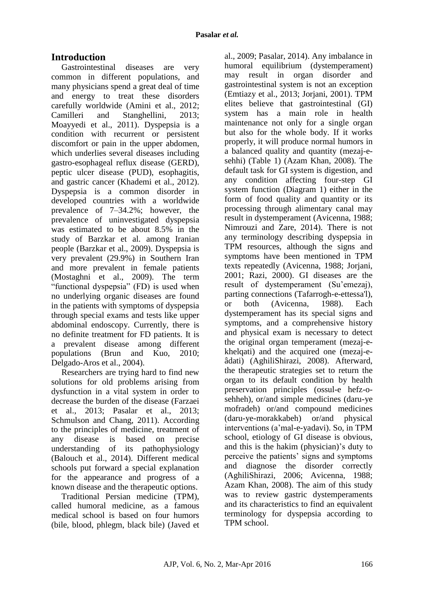# **Introduction**

Gastrointestinal diseases are very common in different populations, and many physicians spend a great deal of time and energy to treat these disorders carefully worldwide (Amini et al., 2012; Camilleri and Stanghellini, 2013; Moayyedi et al., 2011). Dyspepsia is a condition with recurrent or persistent discomfort or pain in the upper abdomen, which underlies several diseases including gastro-esophageal reflux disease (GERD), peptic ulcer disease (PUD), esophagitis, and gastric cancer (Khademi et al., 2012). Dyspepsia is a common disorder in developed countries with a worldwide prevalence of 7–34.2%; however, the prevalence of uninvestigated dyspepsia was estimated to be about 8.5% in the study of Barzkar et al. among Iranian people (Barzkar et al., 2009). Dyspepsia is very prevalent (29.9%) in Southern Iran and more prevalent in female patients (Mostaghni et al., 2009). The term "functional dyspepsia" (FD) is used when no underlying organic diseases are found in the patients with symptoms of dyspepsia through special exams and tests like upper abdominal endoscopy. Currently, there is no definite treatment for FD patients. It is a prevalent disease among different populations (Brun and Kuo, 2010; Delgado-Aros et al., 2004).

Researchers are trying hard to find new solutions for old problems arising from dysfunction in a vital system in order to decrease the burden of the disease (Farzaei et al., 2013; Pasalar et al., 2013; Schmulson and Chang, 2011). According to the principles of medicine, treatment of any disease is based on precise understanding of its pathophysiology (Balouch et al., 2014). Different medical schools put forward a special explanation for the appearance and progress of a known disease and the therapeutic options.

Traditional Persian medicine (TPM), called humoral medicine, as a famous medical school is based on four humors (bile, blood, phlegm, black bile) (Javed et

al., 2009; Pasalar, 2014). Any imbalance in humoral equilibrium (dystemperament) may result in organ disorder and gastrointestinal system is not an exception (Emtiazy et al., 2013; Jorjani, 2001). TPM elites believe that gastrointestinal (GI) system has a main role in health maintenance not only for a single organ but also for the whole body. If it works properly, it will produce normal humors in a balanced quality and quantity (mezaj-esehhi) (Table 1) (Azam Khan, 2008). The default task for GI system is digestion, and any condition affecting four-step GI system function (Diagram 1) either in the form of food quality and quantity or its processing through alimentary canal may result in dystemperament (Avicenna, 1988; Nimrouzi and Zare, 2014). There is not any terminology describing dyspepsia in TPM resources, although the signs and symptoms have been mentioned in TPM texts repeatedly (Avicenna, 1988; Jorjani, 2001; Razi, 2000). GI diseases are the result of dystemperament (Su'emezaj), parting connections (Tafarrogh-e-ettessa'l), or both (Avicenna, 1988). Each dystemperament has its special signs and symptoms, and a comprehensive history and physical exam is necessary to detect the original organ temperament (mezaj-ekhelqati) and the acquired one (mezaj-eâdati) (AghiliShirazi, 2008). Afterward, the therapeutic strategies set to return the organ to its default condition by health preservation principles (ossul-e hefz-osehheh), or/and simple medicines (daru-ye mofradeh) or/and compound medicines (daru-ye-morakkabeh) or/and physical interventions (a'mal-e-yadavi). So, in TPM school, etiology of GI disease is obvious, and this is the hakim (physician)'s duty to perceive the patients' signs and symptoms and diagnose the disorder correctly (AghiliShirazi, 2006; Avicenna, 1988; Azam Khan, 2008). The aim of this study was to review gastric dystemperaments and its characteristics to find an equivalent terminology for dyspepsia according to TPM school.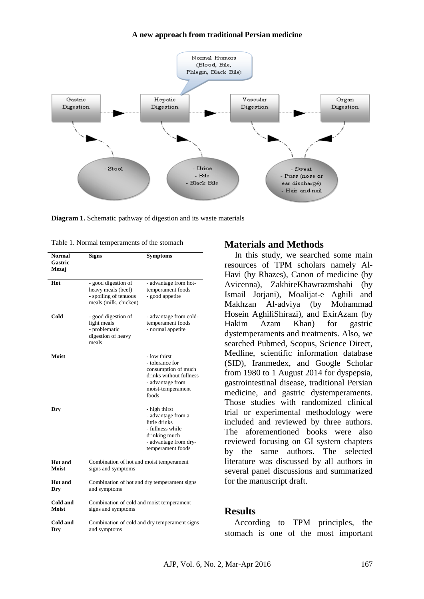#### **A new approach from traditional Persian medicine**



**Diagram 1.** Schematic pathway of digestion and its waste materials

Table 1. Normal temperaments of the stomach **Materials and Methods** 

| <b>Normal</b><br>Gastric<br>Mezaj | <b>Signs</b>                                                                                | <b>Symptoms</b>                                                                                                                         |  |
|-----------------------------------|---------------------------------------------------------------------------------------------|-----------------------------------------------------------------------------------------------------------------------------------------|--|
| Hot                               | - good digestion of<br>heavy meals (beef)<br>- spoiling of tenuous<br>meals (milk, chicken) | - advantage from hot-<br>temperament foods<br>- good appetite                                                                           |  |
| Cold                              | - good digestion of<br>light meals<br>- problematic<br>digestion of heavy<br>meals          | - advantage from cold-<br>temperament foods<br>- normal appetite                                                                        |  |
| Moist                             |                                                                                             | - low thirst<br>- tolerance for<br>consumption of much<br>drinks without fullness<br>- advantage from<br>moist-temperament<br>foods     |  |
| Dry                               |                                                                                             | - high thirst<br>- advantage from a<br>little drinks<br>- fullness while<br>drinking much<br>- advantage from dry-<br>temperament foods |  |
| Hot and<br>Moist                  | Combination of hot and moist temperament<br>signs and symptoms                              |                                                                                                                                         |  |
| <b>Hot</b> and<br>Dry             | Combination of hot and dry temperament signs<br>and symptoms                                |                                                                                                                                         |  |
| Cold and<br><b>Moist</b>          | Combination of cold and moist temperament<br>signs and symptoms                             |                                                                                                                                         |  |
| Cold and<br>Dry                   | Combination of cold and dry temperament signs<br>and symptoms                               |                                                                                                                                         |  |

In this study, we searched some main resources of TPM scholars namely Al-Havi (by Rhazes), Canon of medicine (by Avicenna), ZakhireKhawrazmshahi (by Ismail Jorjani), Moalijat-e Aghili and Makhzan Al-adviya (by Mohammad Hosein AghiliShirazi), and ExirAzam (by Hakim Azam Khan) for gastric dystemperaments and treatments. Also, we searched Pubmed, Scopus, Science Direct, Medline, scientific information database (SID), Iranmedex, and Google Scholar from 1980 to 1 August 2014 for dyspepsia, gastrointestinal disease, traditional Persian medicine, and gastric dystemperaments. Those studies with randomized clinical trial or experimental methodology were included and reviewed by three authors. The aforementioned books were also reviewed focusing on GI system chapters by the same authors. The selected literature was discussed by all authors in several panel discussions and summarized for the manuscript draft.

#### **Results**

According to TPM principles, the stomach is one of the most important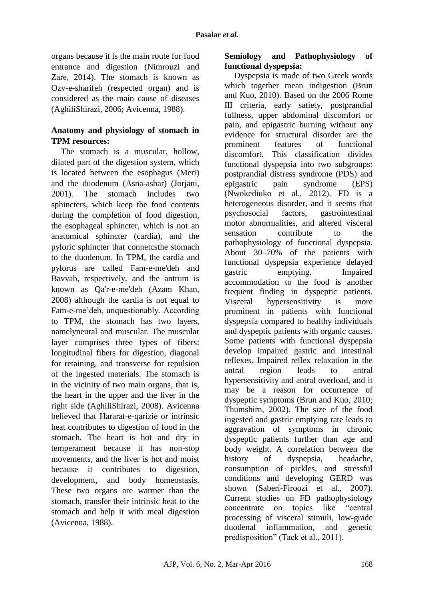organs because it is the main route for food entrance and digestion (Nimrouzi and Zare, 2014). The stomach is known as Ozv-e-sharifeh (respected organ) and is considered as the main cause of diseases (AghiliShirazi, 2006; Avicenna, 1988).

# **Anatomy and physiology of stomach in TPM resources:**

The stomach is a muscular, hollow, dilated part of the digestion system, which is located between the esophagus (Meri) and the duodenum (Asna-ashar) (Jorjani, 2001). The stomach includes two sphincters, which keep the food contents during the completion of food digestion, the esophageal sphincter, which is not an anatomical sphincter (cardia), and the pyloric sphincter that connetcsthe stomach to the duodenum. In TPM, the cardia and pylorus are called Fam-e-me'deh and Bavvab, respectively, and the antrum is known as Qa'r-e-me'deh (Azam Khan, 2008) although the cardia is not equal to Fam-e-me'deh, unquestionably. According to TPM, the stomach has two layers, namelyneural and muscular. The muscular layer comprises three types of fibers: longitudinal fibers for digestion, diagonal for retaining, and transverse for repulsion of the ingested materials. The stomach is in the vicinity of two main organs, that is, the heart in the upper and the liver in the right side (AghiliShirazi, 2008). Avicenna believed that Hararat-e-qarizie or intrinsic heat contributes to digestion of food in the stomach. The heart is hot and dry in temperament because it has non-stop movements, and the liver is hot and moist because it contributes to digestion, development, and body homeostasis. These two organs are warmer than the stomach, transfer their intrinsic heat to the stomach and help it with meal digestion (Avicenna, 1988).

## **Semiology and Pathophysiology of functional dyspepsia:**

Dyspepsia is made of two Greek words which together mean indigestion (Brun and Kuo, 2010). Based on the 2006 Rome III criteria, early satiety, postprandial fullness, upper abdominal discomfort or pain, and epigastric burning without any evidence for structural disorder are the prominent features of functional discomfort. This classification divides functional dyspepsia into two subgroups: postprandial distress syndrome (PDS) and epigastric pain syndrome (EPS) (Nwokediuko et al., 2012). FD is a heterogeneous disorder, and it seems that psychosocial factors, gastrointestinal motor abnormalities, and altered visceral sensation contribute to the pathophysiology of functional dyspepsia. About 30–70% of the patients with functional dyspepsia experience delayed gastric emptying. Impaired accommodation to the food is another frequent finding in dyspeptic patients. Visceral hypersensitivity is more prominent in patients with functional dyspepsia compared to healthy individuals and dyspeptic patients with organic causes. Some patients with functional dyspepsia develop impaired gastric and intestinal reflexes. Impaired reflex relaxation in the antral region leads to antral hypersensitivity and antral overload, and it may be a reason for occurrence of dyspeptic symptoms (Brun and Kuo, 2010; Thumshirn, 2002). The size of the food ingested and gastric emptying rate leads to aggravation of symptoms in chronic dyspeptic patients further than age and body weight. A correlation between the history of dyspepsia, headache, consumption of pickles, and stressful conditions and developing GERD was shown (Saberi-Firoozi et al., 2007). Current studies on FD pathophysiology concentrate on topics like "central processing of visceral stimuli, low-grade duodenal inflammation, and genetic predisposition" (Tack et al., 2011).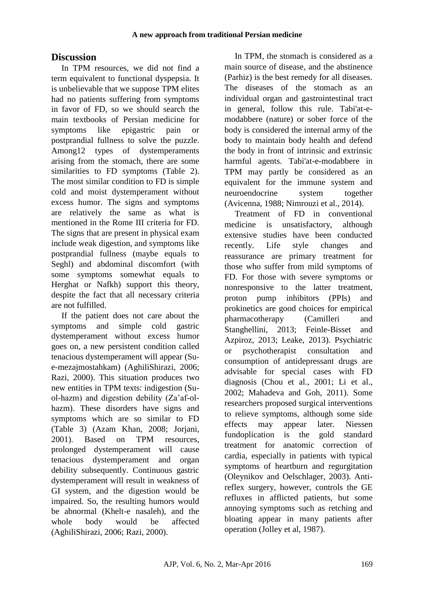# **Discussion**

In TPM resources, we did not find a term equivalent to functional dyspepsia. It is unbelievable that we suppose TPM elites had no patients suffering from symptoms in favor of FD, so we should search the main textbooks of Persian medicine for symptoms like epigastric pain or postprandial fullness to solve the puzzle. Among12 types of dystemperaments arising from the stomach, there are some similarities to FD symptoms (Table 2). The most similar condition to FD is simple cold and moist dystemperament without excess humor. The signs and symptoms are relatively the same as what is mentioned in the Rome III criteria for FD. The signs that are present in physical exam include weak digestion, and symptoms like postprandial fullness (maybe equals to Seghl) and abdominal discomfort (with some symptoms somewhat equals to Herghat or Nafkh) support this theory, despite the fact that all necessary criteria are not fulfilled.

If the patient does not care about the symptoms and simple cold gastric dystemperament without excess humor goes on, a new persistent condition called tenacious dystemperament will appear (Sue-mezajmostahkam) (AghiliShirazi, 2006; Razi, 2000). This situation produces two new entities in TPM texts: indigestion (Suol-hazm) and digestion debility (Za'af-olhazm). These disorders have signs and symptoms which are so similar to FD (Table 3) (Azam Khan, 2008; Jorjani, 2001). Based on TPM resources, prolonged dystemperament will cause tenacious dystemperament and organ debility subsequently. Continuous gastric dystemperament will result in weakness of GI system, and the digestion would be impaired. So, the resulting humors would be abnormal (Khelt-e nasaleh), and the whole body would be affected (AghiliShirazi, 2006; Razi, 2000).

In TPM, the stomach is considered as a main source of disease, and the abstinence (Parhiz) is the best remedy for all diseases. The diseases of the stomach as an individual organ and gastrointestinal tract in general, follow this rule. Tabi'at-emodabbere (nature) or sober force of the body is considered the internal army of the body to maintain body health and defend the body in front of intrinsic and extrinsic harmful agents. Tabi'at-e-modabbere in TPM may partly be considered as an equivalent for the immune system and neuroendocrine system together (Avicenna, 1988; Nimrouzi et al., 2014).

Treatment of FD in conventional medicine is unsatisfactory, although extensive studies have been conducted recently. Life style changes and reassurance are primary treatment for those who suffer from mild symptoms of FD. For those with severe symptoms or nonresponsive to the latter treatment, proton pump inhibitors (PPIs) and prokinetics are good choices for empirical pharmacotherapy (Camilleri and Stanghellini, 2013; Feinle-Bisset and Azpiroz, 2013; Leake, 2013). Psychiatric or psychotherapist consultation and consumption of antidepressant drugs are advisable for special cases with FD diagnosis (Chou et al., 2001; Li et al., 2002; Mahadeva and Goh, 2011). Some researchers proposed surgical interventions to relieve symptoms, although some side effects may appear later. Niessen fundoplication is the gold standard treatment for anatomic correction of cardia, especially in patients with typical symptoms of heartburn and regurgitation (Oleynikov and Oelschlager, 2003). Antireflex surgery, however, controls the GE refluxes in afflicted patients, but some annoying symptoms such as retching and bloating appear in many patients after operation (Jolley et al, 1987).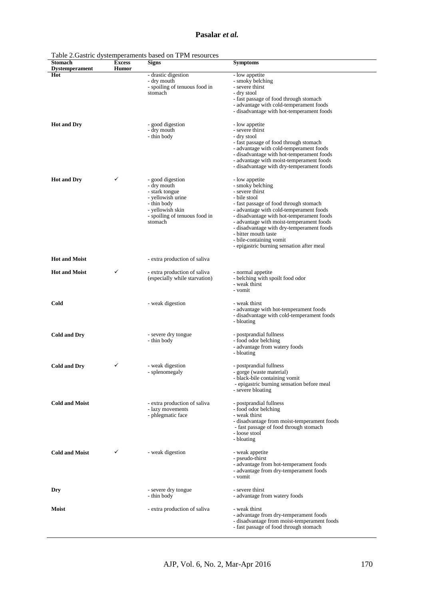#### **Pasalar** *et al.*

| - drastic digestion<br>Hot<br>- low appetite<br>- dry mouth<br>- smoky belching<br>- spoiling of tenuous food in<br>- severe thirst<br>stomach<br>- dry stool<br>- fast passage of food through stomach<br>- advantage with cold-temperament foods<br>- disadvantage with hot-temperament foods<br>- good digestion<br><b>Hot and Dry</b><br>- low appetite<br>- dry mouth<br>- severe thirst<br>- thin body<br>- dry stool<br>- fast passage of food through stomach<br>- advantage with cold-temperament foods<br>- disadvantage with hot-temperament foods<br>- advantage with moist-temperament foods<br>- disadvantage with dry-temperament foods<br><b>Hot and Dry</b><br>✓<br>- good digestion<br>- low appetite<br>- dry mouth<br>- smoky belching<br>- severe thirst<br>- stark tongue<br>- yellowish urine<br>- bile stool<br>- thin body<br>- fast passage of food through stomach<br>- advantage with cold-temperament foods<br>- yellowish skin<br>- spoiling of tenuous food in<br>- disadvantage with hot-temperament foods<br>stomach<br>- advantage with moist-temperament foods<br>- disadvantage with dry-temperament foods<br>- bitter mouth taste<br>- bile-containing vomit<br>- epigastric burning sensation after meal<br><b>Hot and Moist</b><br>- extra production of saliva<br>✓<br><b>Hot and Moist</b><br>- extra production of saliva<br>- normal appetite<br>(especially while starvation)<br>- belching with spoilt food odor<br>- weak thirst<br>- vomit<br>Cold<br>- weak digestion<br>- weak thirst<br>- advantage with hot-temperament foods<br>- disadvantage with cold-temperament foods<br>- bloating<br><b>Cold and Dry</b><br>- severe dry tongue<br>- postprandial fullness<br>- thin body<br>- food odor belching<br>- advantage from watery foods<br>- bloating<br><b>Cold and Dry</b><br>✓<br>- weak digestion<br>- postprandial fullness<br>- splenomegaly<br>- gorge (waste material)<br>- black-bile containing vomit<br>- epigastric burning sensation before meal<br>- severe bloating<br><b>Cold and Moist</b><br>- extra production of saliva<br>- postprandial fullness<br>- lazy movements<br>- food odor belching<br>- phlegmatic face<br>- weak thirst<br>- disadvantage from moist-temperament foods<br>- fast passage of food through stomach<br>- loose stool<br>- bloating<br><b>Cold and Moist</b><br>✓<br>- weak digestion<br>- weak appetite<br>- pseudo-thirst<br>- advantage from hot-temperament foods<br>- advantage from dry-temperament foods<br>- vomit<br>- severe dry tongue<br>- severe thirst<br>Dry<br>- advantage from watery foods<br>- thin body<br>- weak thirst<br><b>Moist</b><br>- extra production of saliva<br>- advantage from dry-temperament foods<br>- disadvantage from moist-temperament foods<br>- fast passage of food through stomach | <b>Stomach</b>        | <b>Excess</b> | <b>Signs</b> | <b>Symptoms</b> |
|------------------------------------------------------------------------------------------------------------------------------------------------------------------------------------------------------------------------------------------------------------------------------------------------------------------------------------------------------------------------------------------------------------------------------------------------------------------------------------------------------------------------------------------------------------------------------------------------------------------------------------------------------------------------------------------------------------------------------------------------------------------------------------------------------------------------------------------------------------------------------------------------------------------------------------------------------------------------------------------------------------------------------------------------------------------------------------------------------------------------------------------------------------------------------------------------------------------------------------------------------------------------------------------------------------------------------------------------------------------------------------------------------------------------------------------------------------------------------------------------------------------------------------------------------------------------------------------------------------------------------------------------------------------------------------------------------------------------------------------------------------------------------------------------------------------------------------------------------------------------------------------------------------------------------------------------------------------------------------------------------------------------------------------------------------------------------------------------------------------------------------------------------------------------------------------------------------------------------------------------------------------------------------------------------------------------------------------------------------------------------------------------------------------------------------------------------------------------------------------------------------------------------------------------------------------------------------------------------------------------------------------------------------------------------------------------------------------------------------------------------------------------------------------------------------------------------------|-----------------------|---------------|--------------|-----------------|
|                                                                                                                                                                                                                                                                                                                                                                                                                                                                                                                                                                                                                                                                                                                                                                                                                                                                                                                                                                                                                                                                                                                                                                                                                                                                                                                                                                                                                                                                                                                                                                                                                                                                                                                                                                                                                                                                                                                                                                                                                                                                                                                                                                                                                                                                                                                                                                                                                                                                                                                                                                                                                                                                                                                                                                                                                                    | <b>Dystemperament</b> | Humor         |              |                 |
|                                                                                                                                                                                                                                                                                                                                                                                                                                                                                                                                                                                                                                                                                                                                                                                                                                                                                                                                                                                                                                                                                                                                                                                                                                                                                                                                                                                                                                                                                                                                                                                                                                                                                                                                                                                                                                                                                                                                                                                                                                                                                                                                                                                                                                                                                                                                                                                                                                                                                                                                                                                                                                                                                                                                                                                                                                    |                       |               |              |                 |
|                                                                                                                                                                                                                                                                                                                                                                                                                                                                                                                                                                                                                                                                                                                                                                                                                                                                                                                                                                                                                                                                                                                                                                                                                                                                                                                                                                                                                                                                                                                                                                                                                                                                                                                                                                                                                                                                                                                                                                                                                                                                                                                                                                                                                                                                                                                                                                                                                                                                                                                                                                                                                                                                                                                                                                                                                                    |                       |               |              |                 |
|                                                                                                                                                                                                                                                                                                                                                                                                                                                                                                                                                                                                                                                                                                                                                                                                                                                                                                                                                                                                                                                                                                                                                                                                                                                                                                                                                                                                                                                                                                                                                                                                                                                                                                                                                                                                                                                                                                                                                                                                                                                                                                                                                                                                                                                                                                                                                                                                                                                                                                                                                                                                                                                                                                                                                                                                                                    |                       |               |              |                 |
|                                                                                                                                                                                                                                                                                                                                                                                                                                                                                                                                                                                                                                                                                                                                                                                                                                                                                                                                                                                                                                                                                                                                                                                                                                                                                                                                                                                                                                                                                                                                                                                                                                                                                                                                                                                                                                                                                                                                                                                                                                                                                                                                                                                                                                                                                                                                                                                                                                                                                                                                                                                                                                                                                                                                                                                                                                    |                       |               |              |                 |
|                                                                                                                                                                                                                                                                                                                                                                                                                                                                                                                                                                                                                                                                                                                                                                                                                                                                                                                                                                                                                                                                                                                                                                                                                                                                                                                                                                                                                                                                                                                                                                                                                                                                                                                                                                                                                                                                                                                                                                                                                                                                                                                                                                                                                                                                                                                                                                                                                                                                                                                                                                                                                                                                                                                                                                                                                                    |                       |               |              |                 |
|                                                                                                                                                                                                                                                                                                                                                                                                                                                                                                                                                                                                                                                                                                                                                                                                                                                                                                                                                                                                                                                                                                                                                                                                                                                                                                                                                                                                                                                                                                                                                                                                                                                                                                                                                                                                                                                                                                                                                                                                                                                                                                                                                                                                                                                                                                                                                                                                                                                                                                                                                                                                                                                                                                                                                                                                                                    |                       |               |              |                 |
|                                                                                                                                                                                                                                                                                                                                                                                                                                                                                                                                                                                                                                                                                                                                                                                                                                                                                                                                                                                                                                                                                                                                                                                                                                                                                                                                                                                                                                                                                                                                                                                                                                                                                                                                                                                                                                                                                                                                                                                                                                                                                                                                                                                                                                                                                                                                                                                                                                                                                                                                                                                                                                                                                                                                                                                                                                    |                       |               |              |                 |
|                                                                                                                                                                                                                                                                                                                                                                                                                                                                                                                                                                                                                                                                                                                                                                                                                                                                                                                                                                                                                                                                                                                                                                                                                                                                                                                                                                                                                                                                                                                                                                                                                                                                                                                                                                                                                                                                                                                                                                                                                                                                                                                                                                                                                                                                                                                                                                                                                                                                                                                                                                                                                                                                                                                                                                                                                                    |                       |               |              |                 |
|                                                                                                                                                                                                                                                                                                                                                                                                                                                                                                                                                                                                                                                                                                                                                                                                                                                                                                                                                                                                                                                                                                                                                                                                                                                                                                                                                                                                                                                                                                                                                                                                                                                                                                                                                                                                                                                                                                                                                                                                                                                                                                                                                                                                                                                                                                                                                                                                                                                                                                                                                                                                                                                                                                                                                                                                                                    |                       |               |              |                 |
|                                                                                                                                                                                                                                                                                                                                                                                                                                                                                                                                                                                                                                                                                                                                                                                                                                                                                                                                                                                                                                                                                                                                                                                                                                                                                                                                                                                                                                                                                                                                                                                                                                                                                                                                                                                                                                                                                                                                                                                                                                                                                                                                                                                                                                                                                                                                                                                                                                                                                                                                                                                                                                                                                                                                                                                                                                    |                       |               |              |                 |
|                                                                                                                                                                                                                                                                                                                                                                                                                                                                                                                                                                                                                                                                                                                                                                                                                                                                                                                                                                                                                                                                                                                                                                                                                                                                                                                                                                                                                                                                                                                                                                                                                                                                                                                                                                                                                                                                                                                                                                                                                                                                                                                                                                                                                                                                                                                                                                                                                                                                                                                                                                                                                                                                                                                                                                                                                                    |                       |               |              |                 |
|                                                                                                                                                                                                                                                                                                                                                                                                                                                                                                                                                                                                                                                                                                                                                                                                                                                                                                                                                                                                                                                                                                                                                                                                                                                                                                                                                                                                                                                                                                                                                                                                                                                                                                                                                                                                                                                                                                                                                                                                                                                                                                                                                                                                                                                                                                                                                                                                                                                                                                                                                                                                                                                                                                                                                                                                                                    |                       |               |              |                 |
|                                                                                                                                                                                                                                                                                                                                                                                                                                                                                                                                                                                                                                                                                                                                                                                                                                                                                                                                                                                                                                                                                                                                                                                                                                                                                                                                                                                                                                                                                                                                                                                                                                                                                                                                                                                                                                                                                                                                                                                                                                                                                                                                                                                                                                                                                                                                                                                                                                                                                                                                                                                                                                                                                                                                                                                                                                    |                       |               |              |                 |
|                                                                                                                                                                                                                                                                                                                                                                                                                                                                                                                                                                                                                                                                                                                                                                                                                                                                                                                                                                                                                                                                                                                                                                                                                                                                                                                                                                                                                                                                                                                                                                                                                                                                                                                                                                                                                                                                                                                                                                                                                                                                                                                                                                                                                                                                                                                                                                                                                                                                                                                                                                                                                                                                                                                                                                                                                                    |                       |               |              |                 |
|                                                                                                                                                                                                                                                                                                                                                                                                                                                                                                                                                                                                                                                                                                                                                                                                                                                                                                                                                                                                                                                                                                                                                                                                                                                                                                                                                                                                                                                                                                                                                                                                                                                                                                                                                                                                                                                                                                                                                                                                                                                                                                                                                                                                                                                                                                                                                                                                                                                                                                                                                                                                                                                                                                                                                                                                                                    |                       |               |              |                 |
|                                                                                                                                                                                                                                                                                                                                                                                                                                                                                                                                                                                                                                                                                                                                                                                                                                                                                                                                                                                                                                                                                                                                                                                                                                                                                                                                                                                                                                                                                                                                                                                                                                                                                                                                                                                                                                                                                                                                                                                                                                                                                                                                                                                                                                                                                                                                                                                                                                                                                                                                                                                                                                                                                                                                                                                                                                    |                       |               |              |                 |
|                                                                                                                                                                                                                                                                                                                                                                                                                                                                                                                                                                                                                                                                                                                                                                                                                                                                                                                                                                                                                                                                                                                                                                                                                                                                                                                                                                                                                                                                                                                                                                                                                                                                                                                                                                                                                                                                                                                                                                                                                                                                                                                                                                                                                                                                                                                                                                                                                                                                                                                                                                                                                                                                                                                                                                                                                                    |                       |               |              |                 |
|                                                                                                                                                                                                                                                                                                                                                                                                                                                                                                                                                                                                                                                                                                                                                                                                                                                                                                                                                                                                                                                                                                                                                                                                                                                                                                                                                                                                                                                                                                                                                                                                                                                                                                                                                                                                                                                                                                                                                                                                                                                                                                                                                                                                                                                                                                                                                                                                                                                                                                                                                                                                                                                                                                                                                                                                                                    |                       |               |              |                 |
|                                                                                                                                                                                                                                                                                                                                                                                                                                                                                                                                                                                                                                                                                                                                                                                                                                                                                                                                                                                                                                                                                                                                                                                                                                                                                                                                                                                                                                                                                                                                                                                                                                                                                                                                                                                                                                                                                                                                                                                                                                                                                                                                                                                                                                                                                                                                                                                                                                                                                                                                                                                                                                                                                                                                                                                                                                    |                       |               |              |                 |
|                                                                                                                                                                                                                                                                                                                                                                                                                                                                                                                                                                                                                                                                                                                                                                                                                                                                                                                                                                                                                                                                                                                                                                                                                                                                                                                                                                                                                                                                                                                                                                                                                                                                                                                                                                                                                                                                                                                                                                                                                                                                                                                                                                                                                                                                                                                                                                                                                                                                                                                                                                                                                                                                                                                                                                                                                                    |                       |               |              |                 |
|                                                                                                                                                                                                                                                                                                                                                                                                                                                                                                                                                                                                                                                                                                                                                                                                                                                                                                                                                                                                                                                                                                                                                                                                                                                                                                                                                                                                                                                                                                                                                                                                                                                                                                                                                                                                                                                                                                                                                                                                                                                                                                                                                                                                                                                                                                                                                                                                                                                                                                                                                                                                                                                                                                                                                                                                                                    |                       |               |              |                 |
|                                                                                                                                                                                                                                                                                                                                                                                                                                                                                                                                                                                                                                                                                                                                                                                                                                                                                                                                                                                                                                                                                                                                                                                                                                                                                                                                                                                                                                                                                                                                                                                                                                                                                                                                                                                                                                                                                                                                                                                                                                                                                                                                                                                                                                                                                                                                                                                                                                                                                                                                                                                                                                                                                                                                                                                                                                    |                       |               |              |                 |
|                                                                                                                                                                                                                                                                                                                                                                                                                                                                                                                                                                                                                                                                                                                                                                                                                                                                                                                                                                                                                                                                                                                                                                                                                                                                                                                                                                                                                                                                                                                                                                                                                                                                                                                                                                                                                                                                                                                                                                                                                                                                                                                                                                                                                                                                                                                                                                                                                                                                                                                                                                                                                                                                                                                                                                                                                                    |                       |               |              |                 |
|                                                                                                                                                                                                                                                                                                                                                                                                                                                                                                                                                                                                                                                                                                                                                                                                                                                                                                                                                                                                                                                                                                                                                                                                                                                                                                                                                                                                                                                                                                                                                                                                                                                                                                                                                                                                                                                                                                                                                                                                                                                                                                                                                                                                                                                                                                                                                                                                                                                                                                                                                                                                                                                                                                                                                                                                                                    |                       |               |              |                 |
|                                                                                                                                                                                                                                                                                                                                                                                                                                                                                                                                                                                                                                                                                                                                                                                                                                                                                                                                                                                                                                                                                                                                                                                                                                                                                                                                                                                                                                                                                                                                                                                                                                                                                                                                                                                                                                                                                                                                                                                                                                                                                                                                                                                                                                                                                                                                                                                                                                                                                                                                                                                                                                                                                                                                                                                                                                    |                       |               |              |                 |
|                                                                                                                                                                                                                                                                                                                                                                                                                                                                                                                                                                                                                                                                                                                                                                                                                                                                                                                                                                                                                                                                                                                                                                                                                                                                                                                                                                                                                                                                                                                                                                                                                                                                                                                                                                                                                                                                                                                                                                                                                                                                                                                                                                                                                                                                                                                                                                                                                                                                                                                                                                                                                                                                                                                                                                                                                                    |                       |               |              |                 |
|                                                                                                                                                                                                                                                                                                                                                                                                                                                                                                                                                                                                                                                                                                                                                                                                                                                                                                                                                                                                                                                                                                                                                                                                                                                                                                                                                                                                                                                                                                                                                                                                                                                                                                                                                                                                                                                                                                                                                                                                                                                                                                                                                                                                                                                                                                                                                                                                                                                                                                                                                                                                                                                                                                                                                                                                                                    |                       |               |              |                 |
|                                                                                                                                                                                                                                                                                                                                                                                                                                                                                                                                                                                                                                                                                                                                                                                                                                                                                                                                                                                                                                                                                                                                                                                                                                                                                                                                                                                                                                                                                                                                                                                                                                                                                                                                                                                                                                                                                                                                                                                                                                                                                                                                                                                                                                                                                                                                                                                                                                                                                                                                                                                                                                                                                                                                                                                                                                    |                       |               |              |                 |
|                                                                                                                                                                                                                                                                                                                                                                                                                                                                                                                                                                                                                                                                                                                                                                                                                                                                                                                                                                                                                                                                                                                                                                                                                                                                                                                                                                                                                                                                                                                                                                                                                                                                                                                                                                                                                                                                                                                                                                                                                                                                                                                                                                                                                                                                                                                                                                                                                                                                                                                                                                                                                                                                                                                                                                                                                                    |                       |               |              |                 |
|                                                                                                                                                                                                                                                                                                                                                                                                                                                                                                                                                                                                                                                                                                                                                                                                                                                                                                                                                                                                                                                                                                                                                                                                                                                                                                                                                                                                                                                                                                                                                                                                                                                                                                                                                                                                                                                                                                                                                                                                                                                                                                                                                                                                                                                                                                                                                                                                                                                                                                                                                                                                                                                                                                                                                                                                                                    |                       |               |              |                 |
|                                                                                                                                                                                                                                                                                                                                                                                                                                                                                                                                                                                                                                                                                                                                                                                                                                                                                                                                                                                                                                                                                                                                                                                                                                                                                                                                                                                                                                                                                                                                                                                                                                                                                                                                                                                                                                                                                                                                                                                                                                                                                                                                                                                                                                                                                                                                                                                                                                                                                                                                                                                                                                                                                                                                                                                                                                    |                       |               |              |                 |
|                                                                                                                                                                                                                                                                                                                                                                                                                                                                                                                                                                                                                                                                                                                                                                                                                                                                                                                                                                                                                                                                                                                                                                                                                                                                                                                                                                                                                                                                                                                                                                                                                                                                                                                                                                                                                                                                                                                                                                                                                                                                                                                                                                                                                                                                                                                                                                                                                                                                                                                                                                                                                                                                                                                                                                                                                                    |                       |               |              |                 |
|                                                                                                                                                                                                                                                                                                                                                                                                                                                                                                                                                                                                                                                                                                                                                                                                                                                                                                                                                                                                                                                                                                                                                                                                                                                                                                                                                                                                                                                                                                                                                                                                                                                                                                                                                                                                                                                                                                                                                                                                                                                                                                                                                                                                                                                                                                                                                                                                                                                                                                                                                                                                                                                                                                                                                                                                                                    |                       |               |              |                 |
|                                                                                                                                                                                                                                                                                                                                                                                                                                                                                                                                                                                                                                                                                                                                                                                                                                                                                                                                                                                                                                                                                                                                                                                                                                                                                                                                                                                                                                                                                                                                                                                                                                                                                                                                                                                                                                                                                                                                                                                                                                                                                                                                                                                                                                                                                                                                                                                                                                                                                                                                                                                                                                                                                                                                                                                                                                    |                       |               |              |                 |
|                                                                                                                                                                                                                                                                                                                                                                                                                                                                                                                                                                                                                                                                                                                                                                                                                                                                                                                                                                                                                                                                                                                                                                                                                                                                                                                                                                                                                                                                                                                                                                                                                                                                                                                                                                                                                                                                                                                                                                                                                                                                                                                                                                                                                                                                                                                                                                                                                                                                                                                                                                                                                                                                                                                                                                                                                                    |                       |               |              |                 |
|                                                                                                                                                                                                                                                                                                                                                                                                                                                                                                                                                                                                                                                                                                                                                                                                                                                                                                                                                                                                                                                                                                                                                                                                                                                                                                                                                                                                                                                                                                                                                                                                                                                                                                                                                                                                                                                                                                                                                                                                                                                                                                                                                                                                                                                                                                                                                                                                                                                                                                                                                                                                                                                                                                                                                                                                                                    |                       |               |              |                 |
|                                                                                                                                                                                                                                                                                                                                                                                                                                                                                                                                                                                                                                                                                                                                                                                                                                                                                                                                                                                                                                                                                                                                                                                                                                                                                                                                                                                                                                                                                                                                                                                                                                                                                                                                                                                                                                                                                                                                                                                                                                                                                                                                                                                                                                                                                                                                                                                                                                                                                                                                                                                                                                                                                                                                                                                                                                    |                       |               |              |                 |
|                                                                                                                                                                                                                                                                                                                                                                                                                                                                                                                                                                                                                                                                                                                                                                                                                                                                                                                                                                                                                                                                                                                                                                                                                                                                                                                                                                                                                                                                                                                                                                                                                                                                                                                                                                                                                                                                                                                                                                                                                                                                                                                                                                                                                                                                                                                                                                                                                                                                                                                                                                                                                                                                                                                                                                                                                                    |                       |               |              |                 |
|                                                                                                                                                                                                                                                                                                                                                                                                                                                                                                                                                                                                                                                                                                                                                                                                                                                                                                                                                                                                                                                                                                                                                                                                                                                                                                                                                                                                                                                                                                                                                                                                                                                                                                                                                                                                                                                                                                                                                                                                                                                                                                                                                                                                                                                                                                                                                                                                                                                                                                                                                                                                                                                                                                                                                                                                                                    |                       |               |              |                 |
|                                                                                                                                                                                                                                                                                                                                                                                                                                                                                                                                                                                                                                                                                                                                                                                                                                                                                                                                                                                                                                                                                                                                                                                                                                                                                                                                                                                                                                                                                                                                                                                                                                                                                                                                                                                                                                                                                                                                                                                                                                                                                                                                                                                                                                                                                                                                                                                                                                                                                                                                                                                                                                                                                                                                                                                                                                    |                       |               |              |                 |
|                                                                                                                                                                                                                                                                                                                                                                                                                                                                                                                                                                                                                                                                                                                                                                                                                                                                                                                                                                                                                                                                                                                                                                                                                                                                                                                                                                                                                                                                                                                                                                                                                                                                                                                                                                                                                                                                                                                                                                                                                                                                                                                                                                                                                                                                                                                                                                                                                                                                                                                                                                                                                                                                                                                                                                                                                                    |                       |               |              |                 |
|                                                                                                                                                                                                                                                                                                                                                                                                                                                                                                                                                                                                                                                                                                                                                                                                                                                                                                                                                                                                                                                                                                                                                                                                                                                                                                                                                                                                                                                                                                                                                                                                                                                                                                                                                                                                                                                                                                                                                                                                                                                                                                                                                                                                                                                                                                                                                                                                                                                                                                                                                                                                                                                                                                                                                                                                                                    |                       |               |              |                 |
|                                                                                                                                                                                                                                                                                                                                                                                                                                                                                                                                                                                                                                                                                                                                                                                                                                                                                                                                                                                                                                                                                                                                                                                                                                                                                                                                                                                                                                                                                                                                                                                                                                                                                                                                                                                                                                                                                                                                                                                                                                                                                                                                                                                                                                                                                                                                                                                                                                                                                                                                                                                                                                                                                                                                                                                                                                    |                       |               |              |                 |
|                                                                                                                                                                                                                                                                                                                                                                                                                                                                                                                                                                                                                                                                                                                                                                                                                                                                                                                                                                                                                                                                                                                                                                                                                                                                                                                                                                                                                                                                                                                                                                                                                                                                                                                                                                                                                                                                                                                                                                                                                                                                                                                                                                                                                                                                                                                                                                                                                                                                                                                                                                                                                                                                                                                                                                                                                                    |                       |               |              |                 |
|                                                                                                                                                                                                                                                                                                                                                                                                                                                                                                                                                                                                                                                                                                                                                                                                                                                                                                                                                                                                                                                                                                                                                                                                                                                                                                                                                                                                                                                                                                                                                                                                                                                                                                                                                                                                                                                                                                                                                                                                                                                                                                                                                                                                                                                                                                                                                                                                                                                                                                                                                                                                                                                                                                                                                                                                                                    |                       |               |              |                 |
|                                                                                                                                                                                                                                                                                                                                                                                                                                                                                                                                                                                                                                                                                                                                                                                                                                                                                                                                                                                                                                                                                                                                                                                                                                                                                                                                                                                                                                                                                                                                                                                                                                                                                                                                                                                                                                                                                                                                                                                                                                                                                                                                                                                                                                                                                                                                                                                                                                                                                                                                                                                                                                                                                                                                                                                                                                    |                       |               |              |                 |

Table 2.Gastric dystemperaments based on TPM resources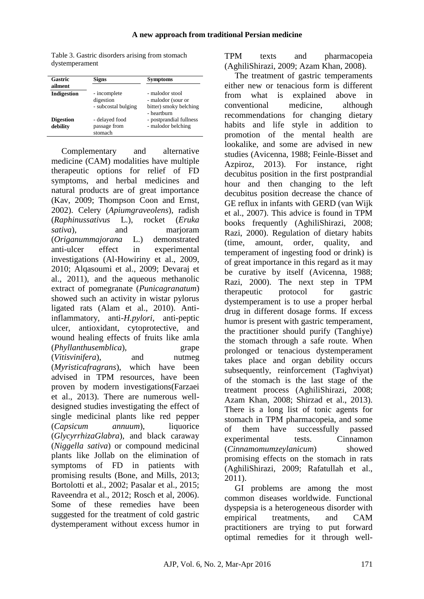Table 3. Gastric disorders arising from stomach dystemperament

| Gastric                      | <b>Signs</b>                                     | <b>Symptoms</b>                                                                |
|------------------------------|--------------------------------------------------|--------------------------------------------------------------------------------|
| ailment                      |                                                  |                                                                                |
| Indigestion                  | - incomplete<br>digestion<br>- subcostal bulging | - malodor stool<br>- malodor (sour or<br>bitter) smoky belching<br>- heartburn |
| <b>Digestion</b><br>debility | - delayed food<br>passage from<br>stomach        | - postprandial fullness<br>- malodor belching                                  |

Complementary and alternative medicine (CAM) modalities have multiple therapeutic options for relief of FD symptoms, and herbal medicines and natural products are of great importance (Kav, 2009; Thompson Coon and Ernst, 2002). Celery (*Apiumgraveolens*), radish (*Raphinussativus* L.), rocket (*Eruka sativa*), and marjoram (*Origanummajorana* L.) demonstrated anti-ulcer effect in experimental investigations (Al-Howiriny et al., 2009, 2010; Alqasoumi et al., 2009; Devaraj et al., 2011), and the aqueous methanolic extract of pomegranate (*Punicagranatum*) showed such an activity in wistar pylorus ligated rats (Alam et al., 2010). Antiinflammatory, anti-*H.pylori*, anti-peptic ulcer, antioxidant, cytoprotective, and wound healing effects of fruits like amla (*Phyllanthusemblica*), grape (*Vitisvinifera*), and nutmeg (*Myristicafragrans*), which have been advised in TPM resources, have been proven by modern investigations(Farzaei et al., 2013). There are numerous welldesigned studies investigating the effect of single medicinal plants like red pepper (*Capsicum annuum*), liquorice (*GlycyrrhizaGlabra*), and black caraway (*Niggella sativa*) or compound medicinal plants like Jollab on the elimination of symptoms of FD in patients with promising results (Bone, and Mills, 2013; Bortolotti et al., 2002; Pasalar et al., 2015; Raveendra et al., 2012; Rosch et al, 2006). Some of these remedies have been suggested for the treatment of cold gastric dystemperament without excess humor in

TPM texts and pharmacopeia (AghiliShirazi, 2009; Azam Khan, 2008).

The treatment of gastric temperaments either new or tenacious form is different from what is explained above in conventional medicine, although recommendations for changing dietary habits and life style in addition to promotion of the mental health are lookalike, and some are advised in new studies (Avicenna, 1988; Feinle-Bisset and Azpiroz, 2013). For instance, right decubitus position in the first postprandial hour and then changing to the left decubitus position decrease the chance of GE reflux in infants with GERD (van Wijk et al., 2007). This advice is found in TPM books frequently (AghiliShirazi, 2008; Razi, 2000). Regulation of dietary habits (time, amount, order, quality, and temperament of ingesting food or drink) is of great importance in this regard as it may be curative by itself (Avicenna, 1988; Razi, 2000). The next step in TPM therapeutic protocol for gastric dystemperament is to use a proper herbal drug in different dosage forms. If excess humor is present with gastric temperament, the practitioner should purify (Tanghiye) the stomach through a safe route. When prolonged or tenacious dystemperament takes place and organ debility occurs subsequently, reinforcement (Taghviyat) of the stomach is the last stage of the treatment process (AghiliShirazi, 2008; Azam Khan, 2008; Shirzad et al., 2013). There is a long list of tonic agents for stomach in TPM pharmacopeia, and some of them have successfully passed experimental tests. Cinnamon (*Cinnamomumzeylanicum*) showed promising effects on the stomach in rats (AghiliShirazi, 2009; Rafatullah et al., 2011).

GI problems are among the most common diseases worldwide. Functional dyspepsia is a heterogeneous disorder with empirical treatments, and CAM practitioners are trying to put forward optimal remedies for it through well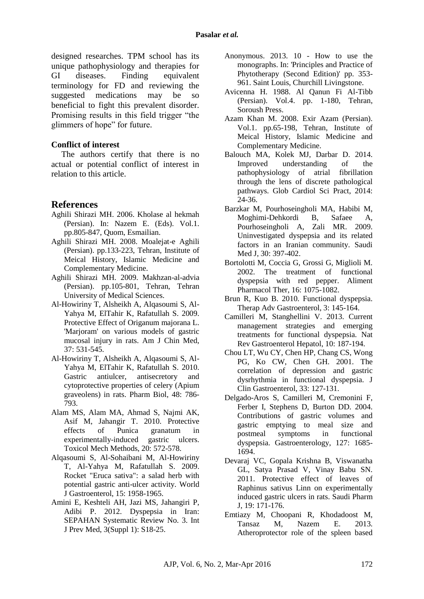designed researches. TPM school has its unique pathophysiology and therapies for GI diseases. Finding equivalent terminology for FD and reviewing the suggested medications may be so beneficial to fight this prevalent disorder. Promising results in this field trigger "the glimmers of hope" for future.

## **Conflict of interest**

The authors certify that there is no actual or potential conflict of interest in relation to this article.

## **References**

- Aghili Shirazi MH. 2006. Kholase al hekmah (Persian). In: Nazem E. (Eds). Vol.1. pp.805-847, Quom, Esmailian.
- Aghili Shirazi MH. 2008. Moalejat-e Aghili (Persian). pp.133-223, Tehran, Institute of Meical History, Islamic Medicine and Complementary Medicine.
- Aghili Shirazi MH. 2009. Makhzan-al-advia (Persian). pp.105-801, Tehran, Tehran University of Medical Sciences.
- Al-Howiriny T, Alsheikh A, Alqasoumi S, Al-Yahya M, ElTahir K, Rafatullah S. 2009. Protective Effect of Origanum majorana L. 'Marioram' on various models of gastric mucosal injury in rats. Am J Chin Med, 37: 531-545.
- Al-Howiriny T, Alsheikh A, Alqasoumi S, Al-Yahya M, ElTahir K, Rafatullah S. 2010. Gastric antiulcer, antisecretory and cytoprotective properties of celery (Apium graveolens) in rats. Pharm Biol, 48: 786- 793.
- Alam MS, Alam MA, Ahmad S, Najmi AK, Asif M, Jahangir T. 2010. Protective effects of Punica granatum in experimentally-induced gastric ulcers. Toxicol Mech Methods, 20: 572-578.
- Alqasoumi S, Al-Sohaibani M, Al-Howiriny T, Al-Yahya M, Rafatullah S. 2009. Rocket "Eruca sativa": a salad herb with potential gastric anti-ulcer activity. World J Gastroenterol, 15: 1958-1965.
- Amini E, Keshteli AH, Jazi MS, Jahangiri P, Adibi P. 2012. Dyspepsia in Iran: SEPAHAN Systematic Review No. 3. Int J Prev Med, 3(Suppl 1): S18-25.
- Anonymous. 2013. 10 How to use the monographs. In: 'Principles and Practice of Phytotherapy (Second Edition)' pp. 353- 961. Saint Louis, Churchill Livingstone.
- Avicenna H. 1988. Al Qanun Fi Al-Tibb (Persian). Vol.4. pp. 1-180, Tehran, Soroush Press.
- Azam Khan M. 2008. Exir Azam (Persian). Vol.1. pp.65-198, Tehran, Institute of Meical History, Islamic Medicine and Complementary Medicine.
- Balouch MA, Kolek MJ, Darbar D. 2014. Improved understanding of the pathophysiology of atrial fibrillation through the lens of discrete pathological pathways. Glob Cardiol Sci Pract, 2014: 24-36.
- Barzkar M, Pourhoseingholi MA, Habibi M, Moghimi-Dehkordi B, Safaee A, Pourhoseingholi A, Zali MR. 2009. Uninvestigated dyspepsia and its related factors in an Iranian community. Saudi Med J, 30: 397-402.
- Bortolotti M, Coccia G, Grossi G, Miglioli M. 2002. The treatment of functional dyspepsia with red pepper. Aliment Pharmacol Ther, 16: 1075-1082.
- Brun R, Kuo B. 2010. Functional dyspepsia. Therap Adv Gastroenterol, 3: 145-164.
- Camilleri M, Stanghellini V. 2013. Current management strategies and emerging treatments for functional dyspepsia. Nat Rev Gastroenterol Hepatol, 10: 187-194.
- Chou LT, Wu CY, Chen HP, Chang CS, Wong PG, Ko CW, Chen GH. 2001. The correlation of depression and gastric dysrhythmia in functional dyspepsia. J Clin Gastroenterol, 33: 127-131.
- Delgado-Aros S, Camilleri M, Cremonini F, Ferber I, Stephens D, Burton DD. 2004. Contributions of gastric volumes and gastric emptying to meal size and postmeal symptoms in functional dyspepsia. Gastroenterology, 127: 1685- 1694.
- Devaraj VC, Gopala Krishna B, Viswanatha GL, Satya Prasad V, Vinay Babu SN. 2011. Protective effect of leaves of Raphinus sativus Linn on experimentally induced gastric ulcers in rats. Saudi Pharm J, 19: 171-176.
- Emtiazy M, Choopani R, Khodadoost M, Tansaz M, Nazem E. 2013. Atheroprotector role of the spleen based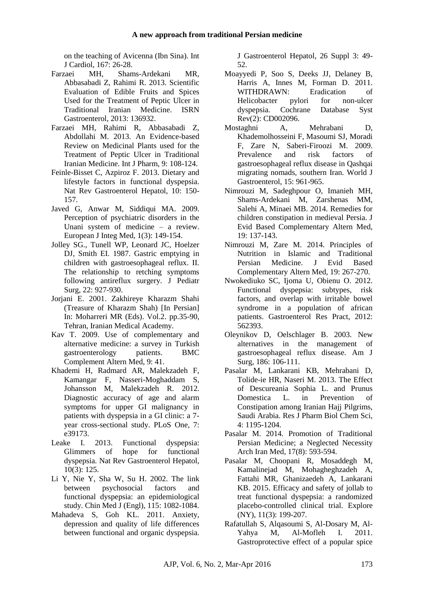on the teaching of Avicenna (Ibn Sina). Int J Cardiol, 167: 26-28.

- Farzaei MH, Shams-Ardekani MR, Abbasabadi Z, Rahimi R. 2013. Scientific Evaluation of Edible Fruits and Spices Used for the Treatment of Peptic Ulcer in Traditional Iranian Medicine. ISRN Gastroenterol, 2013: 136932.
- Farzaei MH, Rahimi R, Abbasabadi Z, Abdollahi M. 2013. An Evidence-based Review on Medicinal Plants used for the Treatment of Peptic Ulcer in Traditional Iranian Medicine. Int J Pharm, 9: 108-124.
- Feinle-Bisset C, Azpiroz F. 2013. Dietary and lifestyle factors in functional dyspepsia. Nat Rev Gastroenterol Hepatol, 10: 150- 157.
- Javed G, Anwar M, Siddiqui MA. 2009. Perception of psychiatric disorders in the Unani system of medicine – a review. European J Integ Med, 1(3): 149-154.
- Jolley SG., Tunell WP, Leonard JC, Hoelzer DJ, Smith EI. 1987. Gastric emptying in children with gastroesophageal reflux. II. The relationship to retching symptoms following antireflux surgery. J Pediatr Surg, 22: 927-930.
- Jorjani E. 2001. Zakhireye Kharazm Shahi (Treasure of Kharazm Shah) [In Persian] In: Moharreri MR (Eds). Vol.2. pp.35-90, Tehran, Iranian Medical Academy.
- Kav T. 2009. Use of complementary and alternative medicine: a survey in Turkish gastroenterology patients. BMC Complement Altern Med, 9: 41.
- Khademi H, Radmard AR, Malekzadeh F, Kamangar F, Nasseri-Moghaddam S, Johansson M, Malekzadeh R. 2012. Diagnostic accuracy of age and alarm symptoms for upper GI malignancy in patients with dyspepsia in a GI clinic: a 7 year cross-sectional study. PLoS One, 7: e39173.
- Leake I. 2013. Functional dyspepsia: Glimmers of hope for functional dyspepsia. Nat Rev Gastroenterol Hepatol, 10(3): 125.
- Li Y, Nie Y, Sha W, Su H. 2002. The link between psychosocial factors and functional dyspepsia: an epidemiological study. Chin Med J (Engl), 115: 1082-1084.
- Mahadeva S, Goh KL. 2011. Anxiety, depression and quality of life differences between functional and organic dyspepsia.

J Gastroenterol Hepatol, 26 Suppl 3: 49- 52.

- Moayyedi P, Soo S, Deeks JJ, Delaney B, Harris A, Innes M, Forman D. 2011. WITHDRAWN: Eradication of Helicobacter pylori for non-ulcer dyspepsia. Cochrane Database Syst Rev(2): CD002096.
- Mostaghni A, Mehrabani D, Khademolhosseini F, Masoumi SJ, Moradi F, Zare N, Saberi-Firoozi M. 2009.<br>Prevalence and risk factors of Prevalence and risk factors of gastroesophageal reflux disease in Qashqai migrating nomads, southern Iran. World J Gastroenterol, 15: 961-965.
- Nimrouzi M, Sadeghpour O, Imanieh MH, Shams-Ardekani M, Zarshenas MM, Salehi A, Minaei MB. 2014. Remedies for children constipation in medieval Persia. J Evid Based Complementary Altern Med, 19: 137-143.
- Nimrouzi M, Zare M. 2014. Principles of Nutrition in Islamic and Traditional Persian Medicine. J Evid Based Complementary Altern Med, 19: 267-270.
- Nwokediuko SC, Ijoma U, Obienu O. 2012. Functional dyspepsia: subtypes, risk factors, and overlap with irritable bowel syndrome in a population of african patients. Gastroenterol Res Pract, 2012: 562393.
- Oleynikov D, Oelschlager B. 2003. New alternatives in the management of gastroesophageal reflux disease. Am J Surg, 186: 106-111.
- Pasalar M, Lankarani KB, Mehrabani D, Tolide-ie HR, Naseri M. 2013. The Effect of Descureania Sophia L. and Prunus Domestica L. in Prevention of Constipation among Iranian Hajj Pilgrims, Saudi Arabia. Res J Pharm Biol Chem Sci, 4: 1195-1204.
- Pasalar M. 2014. Promotion of Traditional Persian Medicine; a Neglected Necessity Arch Iran Med, 17(8): 593-594.
- Pasalar M, Choopani R, Mosaddegh M, Kamalinejad M, Mohagheghzadeh A, Fattahi MR, Ghanizaedeh A, Lankarani KB. 2015. Efficacy and safety of jollab to treat functional dyspepsia: a randomized placebo-controlled clinical trial. Explore (NY), 11(3): 199-207.
- Rafatullah S, Alqasoumi S, Al-Dosary M, Al-Yahya M, Al-Mofleh I. 2011. Gastroprotective effect of a popular spice